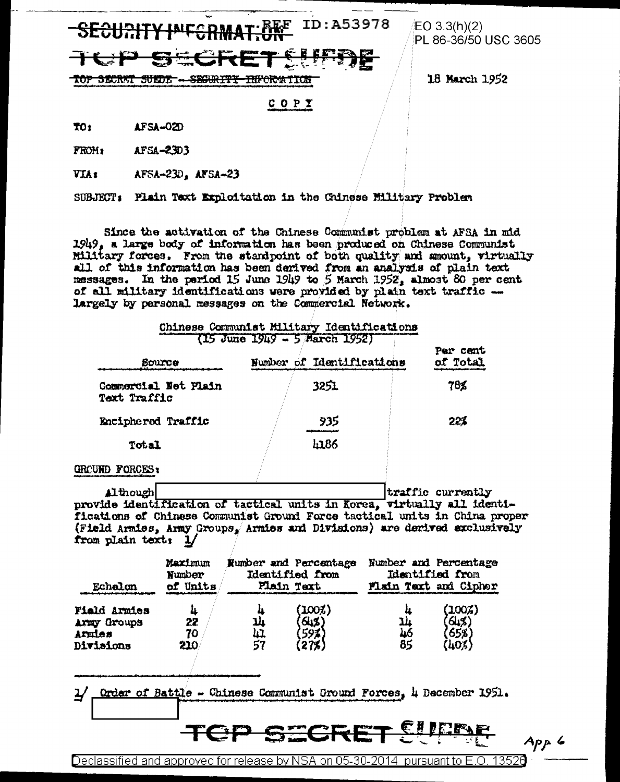ID:A53978

<del>top Secrat Surde-</del> <del>SECURITY INFORM</del>ITOR  $EO 3.3(h)(2)$ PL 86-36/50 USC 3605

18 March 1952

## COPY

TO: AFSA-02D

AFSA-2303 FROM:

**VIA** x AFSA-23D, AFSA-23

SUBJECT: Plain Text Exploitation in the Chinese Military Problem

Since the activation of the Chinese Communist problem at AFSA in mid 1949, a large body of information has been produced on Chinese Communist Military forces. From the standpoint of both quality and amount, virtually all of this information has been derived from an analysis of plain text messages. In the pariod 15 June 1949 to 5 March 1952, almost 80 per cent of all military identifications were provided by plain text traffic -largely by personal messages on the Commercial Network.

|                                      | Chinese Communist Military Identifications<br>$(15$ June $1949 - 5$ March $1952$ |                      |
|--------------------------------------|----------------------------------------------------------------------------------|----------------------|
| <b>Bource</b>                        | Number of Identifications                                                        | Par cent<br>of Total |
| Commercial Net Plain<br>Text Traffic | 3251                                                                             | 78%                  |
| Enciphered Traffic                   | 935                                                                              | 22%                  |
| Total                                | 4186                                                                             |                      |
| <b>FORCES:</b><br><b>GROUND</b>      |                                                                                  |                      |

traffic currently Although provide identification of tactical units in Korea, virtually all identifications of Chinese Communist Ground Force tactical units in China proper (Field Armies, Army Groups, Armies and Divisions) are derived exclusively from plain text: 1,

| Echalon                                            | Maximum              | Number and Percentage |                                 | <b>Number and Percentage</b> |                               |
|----------------------------------------------------|----------------------|-----------------------|---------------------------------|------------------------------|-------------------------------|
|                                                    | Number               | Identified from       |                                 | Identified from              |                               |
|                                                    | of Units             | Plain Taxt            |                                 | Flain Taxt and Cipher        |                               |
| Field Armies<br>Army Groups<br>Armies<br>Divisions | Щ<br>22<br>70<br>210 | 14<br>'nΤ<br>57       | $(100\%)$<br>645)<br>59%<br>275 | ц<br>14<br>46<br>85          | (100%)<br>64%<br>65%<br>(403) |

Order of Battle - Chinese Communist Oround Forces, 4 December 1951. ¥

Declassified and approved for release by NSA on 05-30-2014 pursuant to E.O. 1352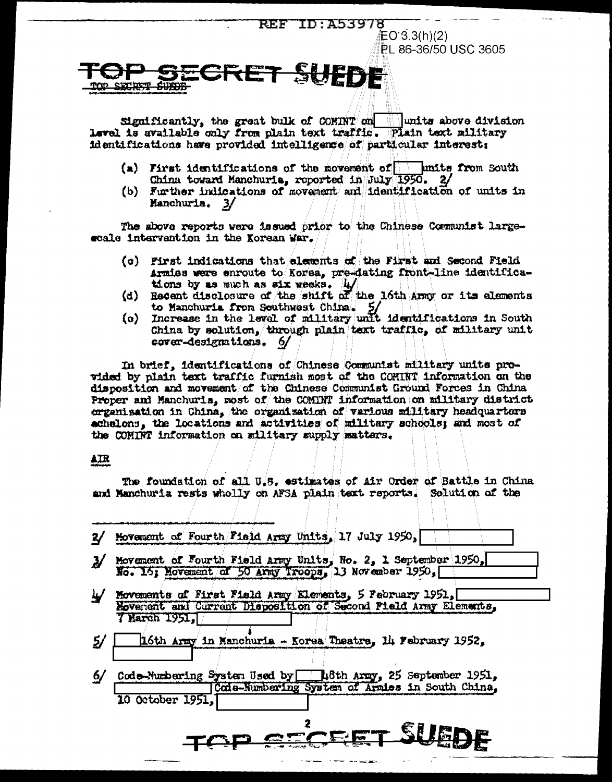### **REF ID:A53978**  $EO 3.3(h)(2)$ **PL 86-36/50 USC 3605**

Significantly, the great bulk of COMINT on  $\|$  units above division Level is available only from plain text traffic. Plain text military identifications have provided intelligence of particular interest:

 $(a)$  First identifications of the movement of  $\Box$  units from South China toward Manchuria, reported in July 1950. 2/

SUEDE

(b) Further indications of movement and identification of units in Manchuria. 3/

The shove reports were issued prior to the Chinese Communist largescale intervention in the Korean War.

- (c) First indications that elements of the First and Second Field Armies were enroute to Korea, pre-dating front-line identifications by as much as six weeks. 4/
- (d) Recent disclosure of the shift of the 16th Army or its elements to Manchuria from Southwest China. 5/<br>(c) Increase in the level of military unit identifications in South
- China by solution, through plain text traffic, of military unit cover-designations. 6/

In brief, identifications of Chinese Communist military units provided by plain text traffic furnish most of the COMINT information on the disposition and movement/of the Chinese Communist Ground Forces in China Proper and Manchuria, most of the COMINT information on military district organisation in China, the organisation of various military headquarters achalons, the locations and activities of military schools; and most of the COMINT information on military supply matters.

#### AIR

SECRET SURFE

The foundation of all U.S. estimates of Air Order of Battle in China and Manchuria rests wholly on AFSA plain text reports. Solution of the

|                  | Movement of Fourth Field army Units, No. 2, 1 September 1950,<br>No. 15; Movement of 50 Army Troops, 13 November 1950, |
|------------------|------------------------------------------------------------------------------------------------------------------------|
|                  | Movements of First Field Army Elements, 5 February 1951,                                                               |
|                  | Movement and Current Disposition of Second Pield Army Elements,                                                        |
| 7 Harch 1951.    |                                                                                                                        |
|                  | 16th Army in Manchuria - Korea Theatre, 14 February 1952,                                                              |
|                  |                                                                                                                        |
|                  |                                                                                                                        |
|                  | Code-Munbering System Used by 18th Army, 25 September 1951,                                                            |
|                  | Code-Numbering System of Armies in South China,                                                                        |
| 10 October 1951. |                                                                                                                        |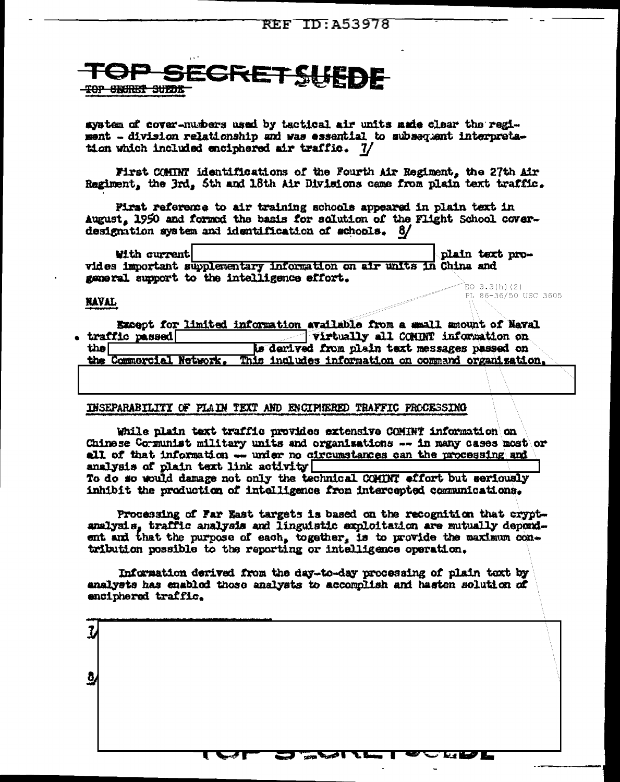# **SRETSUEDE** <del>TOP SECRET SUEDE</del>

aystem of cover-numbers used by tactical air units made clear the regiment - division relationship and was essential to subsequent interpretation which included enciphered air traffic. 7/

First COMINT identifications of the Fourth Air Regiment, the 27th Air Regiment, the 3rd, 5th and 18th Air Divisions came from plain text traffic.

Pirst reference to air training schools appeared in plain text in August, 1950 and formed the basis for solution of the Flight School coverdesignation system and identification of schools. 8/

**With current** plain text provides important supplementary information on air units in China and general support to the intelligence effort. EO 3.3(h)(2)

PL 86-36/50 USC 3605

#### **NAVAL**

|                         | Except for limited information available from a small amount of Naval |
|-------------------------|-----------------------------------------------------------------------|
| traffic passed          | <b>Virtually all COMINT information on</b>                            |
| thel                    | is derived from plain text messages passed on                         |
| the Commercial Network. | This includes information on command organization.                    |

#### INSEPARABILITY OF PLAIN TEXT AND ENCIPIERED TRAFFIC PROCESSING

While plain text traffic provides extensive COMINT information on Chinese Communist military units and organisations  $-\star$  in many cases most or all of that information -- under no circumstances can the processing and analysis of plain text link activity To do so would damage not only the technical COMTNT effort but seriously inhibit the production of intelligence from intercepted communications.

Processing of Far East targets is based on the recognition that cryptanalysis, traffic analysis and linguistic exploitation are mutually dependent and that the purpose of each, together, is to provide the maximum contribution possible to the reporting or intelligence operation.

Information derived from the day-to-day processing of plain toxt by analysts has enabled those analysts to accomplish and hasten solution of enciphered traffic.

|           | المتنسم موازعهم ويرشد اثراه والماعا الاناد وسيوس ويسمع المطارع والمواسل<br>والمناقض المتناقض الماريان<br>ومحصور |  |
|-----------|-----------------------------------------------------------------------------------------------------------------|--|
| -7        |                                                                                                                 |  |
| مد        |                                                                                                                 |  |
|           |                                                                                                                 |  |
|           |                                                                                                                 |  |
|           |                                                                                                                 |  |
|           |                                                                                                                 |  |
| $\vec{q}$ |                                                                                                                 |  |
|           |                                                                                                                 |  |
|           |                                                                                                                 |  |
|           |                                                                                                                 |  |
|           |                                                                                                                 |  |
|           |                                                                                                                 |  |
|           |                                                                                                                 |  |
|           |                                                                                                                 |  |
|           |                                                                                                                 |  |
|           |                                                                                                                 |  |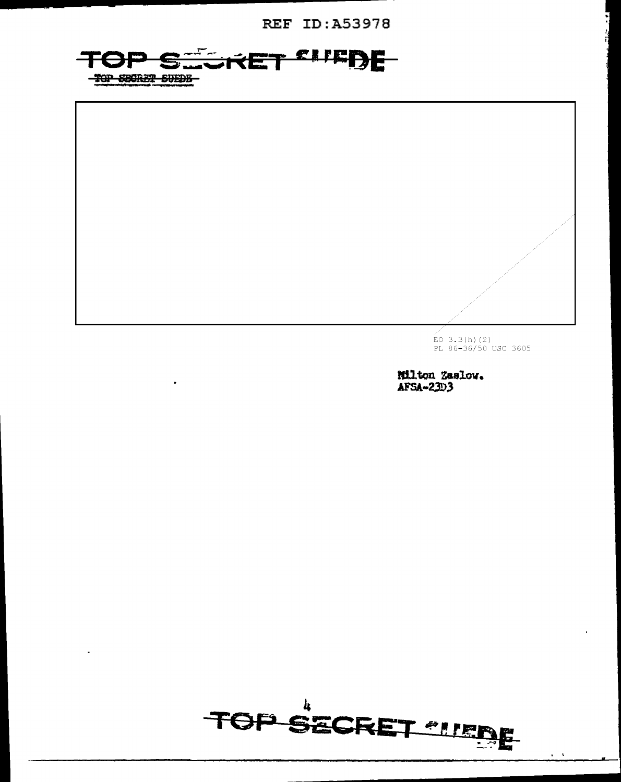**REF ID: A53978** 





 $\stackrel{\sim}{\text{EO}}$  3.3(h)(2)<br>PL 86-36/50 USC 3605

Milton Zaslow. AFSA-23D3

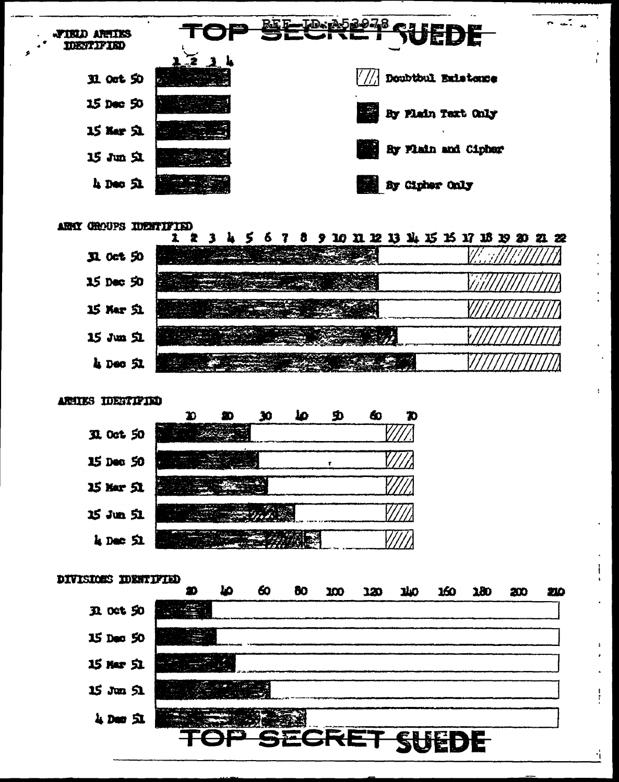

#### ARMY CROUPS IDENTIFIED

|                 | 5789 | 10 11 12 13 14 15 15 17 18 19 20 21 22 |
|-----------------|------|----------------------------------------|
| R oct 50        |      |                                        |
| 15 Dec 50       |      |                                        |
| 15 Mar <b>丸</b> |      |                                        |
| 15 Jun 立        |      |                                        |
| 4 Dec SI        |      |                                        |

#### ARTIES IDESTIFIED



#### DIVISIONS IDENTIFIED 60 ھا 80  $300$ **JAO DOL**  $280$ 120 200 210 m **R** oct 50 15 Dec 50 15 Mar 51  $15$  Jun  $51$ 4 Dec 51 **GRET** SUEDE

ť